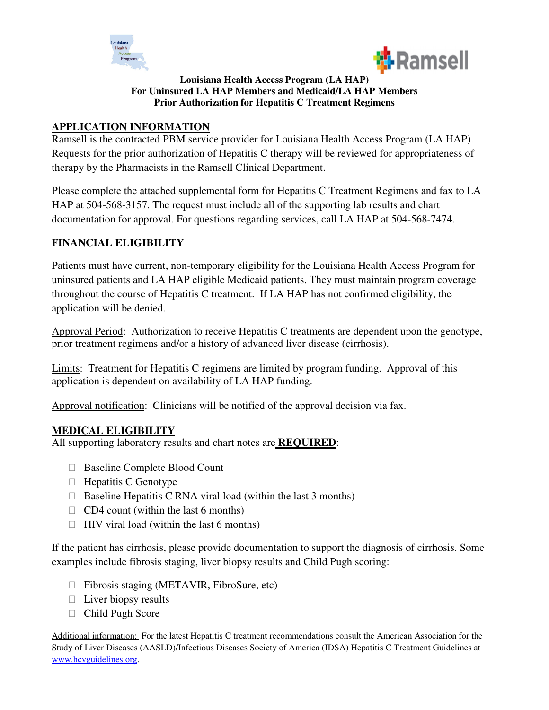



#### **Louisiana Health Access Program (LA HAP) For Uninsured LA HAP Members and Medicaid/LA HAP Members Prior Authorization for Hepatitis C Treatment Regimens**

### **APPLICATION INFORMATION**

Ramsell is the contracted PBM service provider for Louisiana Health Access Program (LA HAP). Requests for the prior authorization of Hepatitis C therapy will be reviewed for appropriateness of therapy by the Pharmacists in the Ramsell Clinical Department.

Please complete the attached supplemental form for Hepatitis C Treatment Regimens and fax to LA HAP at 504-568-3157. The request must include all of the supporting lab results and chart documentation for approval. For questions regarding services, call LA HAP at 504-568-7474.

## **FINANCIAL ELIGIBILITY**

Patients must have current, non-temporary eligibility for the Louisiana Health Access Program for uninsured patients and LA HAP eligible Medicaid patients. They must maintain program coverage throughout the course of Hepatitis C treatment. If LA HAP has not confirmed eligibility, the application will be denied.

Approval Period: Authorization to receive Hepatitis C treatments are dependent upon the genotype, prior treatment regimens and/or a history of advanced liver disease (cirrhosis).

Limits: Treatment for Hepatitis C regimens are limited by program funding. Approval of this application is dependent on availability of LA HAP funding.

Approval notification: Clinicians will be notified of the approval decision via fax.

### **MEDICAL ELIGIBILITY**

All supporting laboratory results and chart notes are **REQUIRED**:

 Baseline Complete Blood Count Hepatitis C Genotype Baseline Hepatitis C RNA viral load (within the last 3 months) CD4 count (within the last 6 months) HIV viral load (within the last 6 months)

If the patient has cirrhosis, please provide documentation to support the diagnosis of cirrhosis. Some examples include fibrosis staging, liver biopsy results and Child Pugh scoring:

 Fibrosis staging (METAVIR, FibroSure, etc) Liver biopsy results Child Pugh Score

Additional information: For the latest Hepatitis C treatment recommendations consult the American Association for the Study of Liver Diseases (AASLD)/Infectious Diseases Society of America (IDSA) Hepatitis C Treatment Guidelines at www.hcvguidelines.org.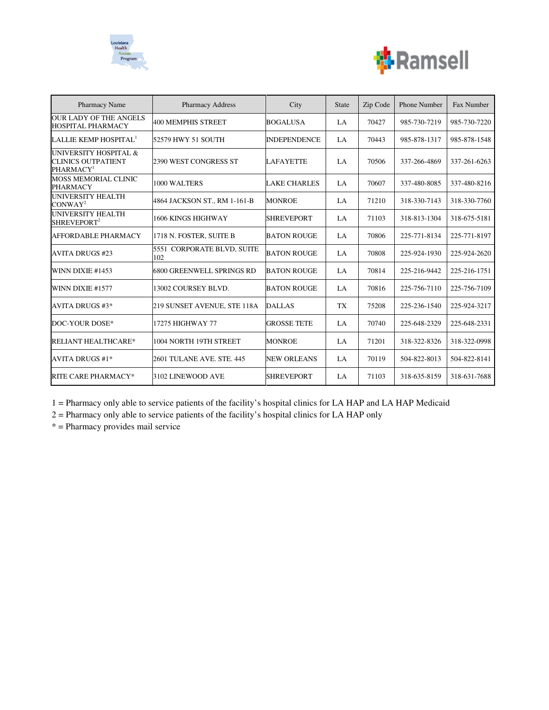



| <b>Pharmacy Name</b>                                                        | <b>Pharmacy Address</b>           | City                | <b>State</b> | Zip Code | <b>Phone Number</b> | Fax Number   |
|-----------------------------------------------------------------------------|-----------------------------------|---------------------|--------------|----------|---------------------|--------------|
| <b>OUR LADY OF THE ANGELS</b><br><b>HOSPITAL PHARMACY</b>                   | 400 MEMPHIS STREET                | <b>BOGALUSA</b>     | LA.          | 70427    | 985-730-7219        | 985-730-7220 |
| LALLIE KEMP HOSPITAL <sup>1</sup>                                           | 52579 HWY 51 SOUTH                | <b>INDEPENDENCE</b> | LA           | 70443    | 985-878-1317        | 985-878-1548 |
| UNIVERSITY HOSPITAL &<br><b>CLINICS OUTPATIENT</b><br>PHARMACY <sup>1</sup> | 2390 WEST CONGRESS ST             | <b>LAFAYETTE</b>    | $L_A$        | 70506    | 337-266-4869        | 337-261-6263 |
| <b>MOSS MEMORIAL CLINIC</b><br><b>PHARMACY</b>                              | 1000 WALTERS                      | <b>LAKE CHARLES</b> | LA           | 70607    | 337-480-8085        | 337-480-8216 |
| <b>UNIVERSITY HEALTH</b><br>CONWAY <sup>2</sup>                             | 4864 JACKSON ST., RM 1-161-B      | <b>MONROE</b>       | LA.          | 71210    | 318-330-7143        | 318-330-7760 |
| <b>UNIVERSITY HEALTH</b><br>SHREVEPORT <sup>2</sup>                         | 1606 KINGS HIGHWAY                | <b>SHREVEPORT</b>   | LA           | 71103    | 318-813-1304        | 318-675-5181 |
| AFFORDABLE PHARMACY                                                         | 1718 N. FOSTER, SUITE B           | <b>BATON ROUGE</b>  | LA           | 70806    | 225-771-8134        | 225-771-8197 |
| <b>AVITA DRUGS #23</b>                                                      | 5551 CORPORATE BLVD, SUITE<br>102 | <b>BATON ROUGE</b>  | $L_A$        | 70808    | 225-924-1930        | 225-924-2620 |
| WINN DIXIE #1453                                                            | 6800 GREENWELL SPRINGS RD         | <b>BATON ROUGE</b>  | LA           | 70814    | 225-216-9442        | 225-216-1751 |
| WINN DIXIE #1577                                                            | 13002 COURSEY BLVD.               | <b>BATON ROUGE</b>  | LA           | 70816    | 225-756-7110        | 225-756-7109 |
| <b>AVITA DRUGS #3*</b>                                                      | 219 SUNSET AVENUE, STE 118A       | <b>DALLAS</b>       | <b>TX</b>    | 75208    | 225-236-1540        | 225-924-3217 |
| DOC-YOUR DOSE*                                                              | 17275 HIGHWAY 77                  | <b>GROSSE TETE</b>  | LA           | 70740    | 225-648-2329        | 225-648-2331 |
| <b>RELIANT HEALTHCARE*</b>                                                  | 1004 NORTH 19TH STREET            | <b>MONROE</b>       | LA           | 71201    | 318-322-8326        | 318-322-0998 |
| <b>AVITA DRUGS #1*</b>                                                      | 2601 TULANE AVE, STE, 445         | <b>NEW ORLEANS</b>  | LA           | 70119    | 504-822-8013        | 504-822-8141 |
| <b>RITE CARE PHARMACY*</b>                                                  | 3102 LINEWOOD AVE                 | <b>SHREVEPORT</b>   | LA           | 71103    | 318-635-8159        | 318-631-7688 |

1 = Pharmacy only able to service patients of the facility's hospital clinics for LA HAP and LA HAP Medicaid

2 = Pharmacy only able to service patients of the facility's hospital clinics for LA HAP only

\* = Pharmacy provides mail service